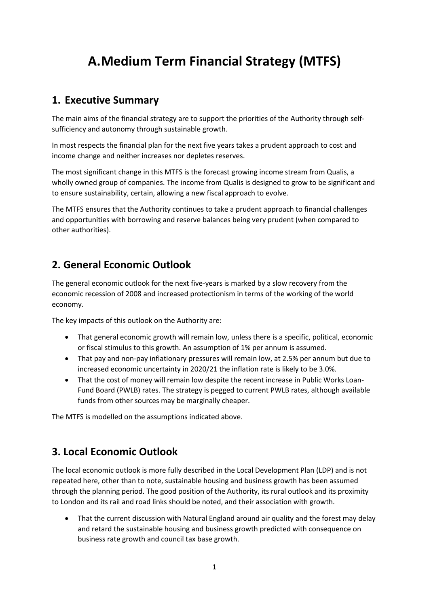# **A.Medium Term Financial Strategy (MTFS)**

## **1. Executive Summary**

The main aims of the financial strategy are to support the priorities of the Authority through selfsufficiency and autonomy through sustainable growth.

In most respects the financial plan for the next five years takes a prudent approach to cost and income change and neither increases nor depletes reserves.

The most significant change in this MTFS is the forecast growing income stream from Qualis, a wholly owned group of companies. The income from Qualis is designed to grow to be significant and to ensure sustainability, certain, allowing a new fiscal approach to evolve.

The MTFS ensures that the Authority continues to take a prudent approach to financial challenges and opportunities with borrowing and reserve balances being very prudent (when compared to other authorities).

## **2. General Economic Outlook**

The general economic outlook for the next five-years is marked by a slow recovery from the economic recession of 2008 and increased protectionism in terms of the working of the world economy.

The key impacts of this outlook on the Authority are:

- That general economic growth will remain low, unless there is a specific, political, economic or fiscal stimulus to this growth. An assumption of 1% per annum is assumed.
- That pay and non-pay inflationary pressures will remain low, at 2.5% per annum but due to increased economic uncertainty in 2020/21 the inflation rate is likely to be 3.0%.
- That the cost of money will remain low despite the recent increase in Public Works Loan-Fund Board (PWLB) rates. The strategy is pegged to current PWLB rates, although available funds from other sources may be marginally cheaper.

The MTFS is modelled on the assumptions indicated above.

## **3. Local Economic Outlook**

The local economic outlook is more fully described in the Local Development Plan (LDP) and is not repeated here, other than to note, sustainable housing and business growth has been assumed through the planning period. The good position of the Authority, its rural outlook and its proximity to London and its rail and road links should be noted, and their association with growth.

 That the current discussion with Natural England around air quality and the forest may delay and retard the sustainable housing and business growth predicted with consequence on business rate growth and council tax base growth.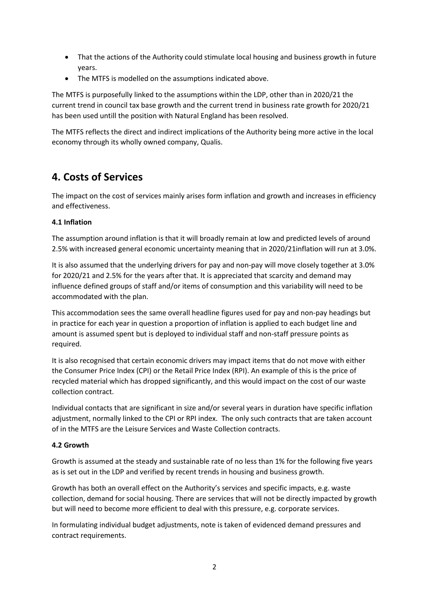- That the actions of the Authority could stimulate local housing and business growth in future years.
- The MTFS is modelled on the assumptions indicated above.

The MTFS is purposefully linked to the assumptions within the LDP, other than in 2020/21 the current trend in council tax base growth and the current trend in business rate growth for 2020/21 has been used untill the position with Natural England has been resolved.

The MTFS reflects the direct and indirect implications of the Authority being more active in the local economy through its wholly owned company, Qualis.

## **4. Costs of Services**

The impact on the cost of services mainly arises form inflation and growth and increases in efficiency and effectiveness.

#### **4.1 Inflation**

The assumption around inflation is that it will broadly remain at low and predicted levels of around 2.5% with increased general economic uncertainty meaning that in 2020/21inflation will run at 3.0%.

It is also assumed that the underlying drivers for pay and non-pay will move closely together at 3.0% for 2020/21 and 2.5% for the years after that. It is appreciated that scarcity and demand may influence defined groups of staff and/or items of consumption and this variability will need to be accommodated with the plan.

This accommodation sees the same overall headline figures used for pay and non-pay headings but in practice for each year in question a proportion of inflation is applied to each budget line and amount is assumed spent but is deployed to individual staff and non-staff pressure points as required.

It is also recognised that certain economic drivers may impact items that do not move with either the Consumer Price Index (CPI) or the Retail Price Index (RPI). An example of this is the price of recycled material which has dropped significantly, and this would impact on the cost of our waste collection contract.

Individual contacts that are significant in size and/or several years in duration have specific inflation adjustment, normally linked to the CPI or RPI index. The only such contracts that are taken account of in the MTFS are the Leisure Services and Waste Collection contracts.

#### **4.2 Growth**

Growth is assumed at the steady and sustainable rate of no less than 1% for the following five years as is set out in the LDP and verified by recent trends in housing and business growth.

Growth has both an overall effect on the Authority's services and specific impacts, e.g. waste collection, demand for social housing. There are services that will not be directly impacted by growth but will need to become more efficient to deal with this pressure, e.g. corporate services.

In formulating individual budget adjustments, note is taken of evidenced demand pressures and contract requirements.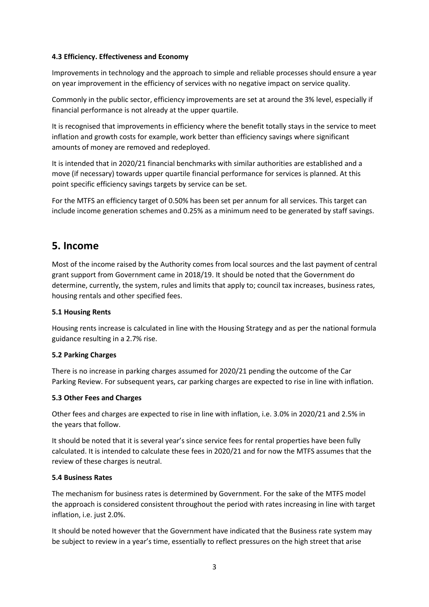#### **4.3 Efficiency. Effectiveness and Economy**

Improvements in technology and the approach to simple and reliable processes should ensure a year on year improvement in the efficiency of services with no negative impact on service quality.

Commonly in the public sector, efficiency improvements are set at around the 3% level, especially if financial performance is not already at the upper quartile.

It is recognised that improvements in efficiency where the benefit totally stays in the service to meet inflation and growth costs for example, work better than efficiency savings where significant amounts of money are removed and redeployed.

It is intended that in 2020/21 financial benchmarks with similar authorities are established and a move (if necessary) towards upper quartile financial performance for services is planned. At this point specific efficiency savings targets by service can be set.

For the MTFS an efficiency target of 0.50% has been set per annum for all services. This target can include income generation schemes and 0.25% as a minimum need to be generated by staff savings.

### **5. Income**

Most of the income raised by the Authority comes from local sources and the last payment of central grant support from Government came in 2018/19. It should be noted that the Government do determine, currently, the system, rules and limits that apply to; council tax increases, business rates, housing rentals and other specified fees.

#### **5.1 Housing Rents**

Housing rents increase is calculated in line with the Housing Strategy and as per the national formula guidance resulting in a 2.7% rise.

#### **5.2 Parking Charges**

There is no increase in parking charges assumed for 2020/21 pending the outcome of the Car Parking Review. For subsequent years, car parking charges are expected to rise in line with inflation.

#### **5.3 Other Fees and Charges**

Other fees and charges are expected to rise in line with inflation, i.e. 3.0% in 2020/21 and 2.5% in the years that follow.

It should be noted that it is several year's since service fees for rental properties have been fully calculated. It is intended to calculate these fees in 2020/21 and for now the MTFS assumes that the review of these charges is neutral.

#### **5.4 Business Rates**

The mechanism for business rates is determined by Government. For the sake of the MTFS model the approach is considered consistent throughout the period with rates increasing in line with target inflation, i.e. just 2.0%.

It should be noted however that the Government have indicated that the Business rate system may be subject to review in a year's time, essentially to reflect pressures on the high street that arise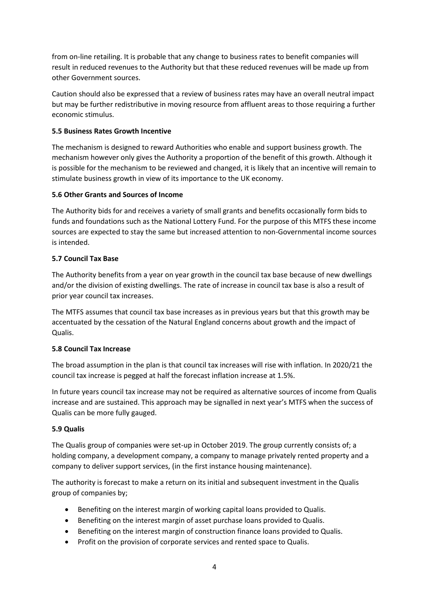from on-line retailing. It is probable that any change to business rates to benefit companies will result in reduced revenues to the Authority but that these reduced revenues will be made up from other Government sources.

Caution should also be expressed that a review of business rates may have an overall neutral impact but may be further redistributive in moving resource from affluent areas to those requiring a further economic stimulus.

#### **5.5 Business Rates Growth Incentive**

The mechanism is designed to reward Authorities who enable and support business growth. The mechanism however only gives the Authority a proportion of the benefit of this growth. Although it is possible for the mechanism to be reviewed and changed, it is likely that an incentive will remain to stimulate business growth in view of its importance to the UK economy.

#### **5.6 Other Grants and Sources of Income**

The Authority bids for and receives a variety of small grants and benefits occasionally form bids to funds and foundations such as the National Lottery Fund. For the purpose of this MTFS these income sources are expected to stay the same but increased attention to non-Governmental income sources is intended.

#### **5.7 Council Tax Base**

The Authority benefits from a year on year growth in the council tax base because of new dwellings and/or the division of existing dwellings. The rate of increase in council tax base is also a result of prior year council tax increases.

The MTFS assumes that council tax base increases as in previous years but that this growth may be accentuated by the cessation of the Natural England concerns about growth and the impact of Qualis.

#### **5.8 Council Tax Increase**

The broad assumption in the plan is that council tax increases will rise with inflation. In 2020/21 the council tax increase is pegged at half the forecast inflation increase at 1.5%.

In future years council tax increase may not be required as alternative sources of income from Qualis increase and are sustained. This approach may be signalled in next year's MTFS when the success of Qualis can be more fully gauged.

#### **5.9 Qualis**

The Qualis group of companies were set-up in October 2019. The group currently consists of; a holding company, a development company, a company to manage privately rented property and a company to deliver support services, (in the first instance housing maintenance).

The authority is forecast to make a return on its initial and subsequent investment in the Qualis group of companies by;

- Benefiting on the interest margin of working capital loans provided to Qualis.
- Benefiting on the interest margin of asset purchase loans provided to Qualis.
- Benefiting on the interest margin of construction finance loans provided to Qualis.
- Profit on the provision of corporate services and rented space to Qualis.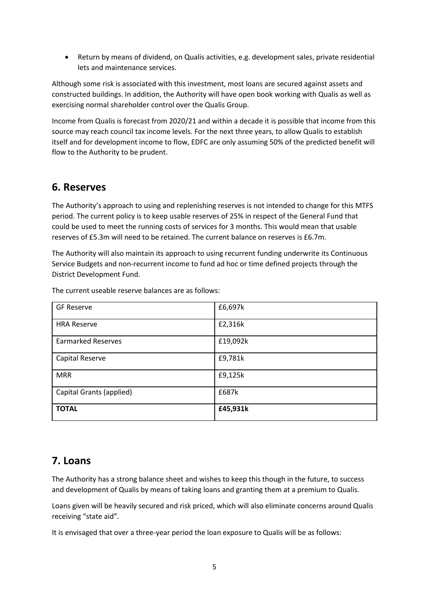Return by means of dividend, on Qualis activities, e.g. development sales, private residential lets and maintenance services.

Although some risk is associated with this investment, most loans are secured against assets and constructed buildings. In addition, the Authority will have open book working with Qualis as well as exercising normal shareholder control over the Qualis Group.

Income from Qualis is forecast from 2020/21 and within a decade it is possible that income from this source may reach council tax income levels. For the next three years, to allow Qualis to establish itself and for development income to flow, EDFC are only assuming 50% of the predicted benefit will flow to the Authority to be prudent.

### **6. Reserves**

The Authority's approach to using and replenishing reserves is not intended to change for this MTFS period. The current policy is to keep usable reserves of 25% in respect of the General Fund that could be used to meet the running costs of services for 3 months. This would mean that usable reserves of £5.3m will need to be retained. The current balance on reserves is £6.7m.

The Authority will also maintain its approach to using recurrent funding underwrite its Continuous Service Budgets and non-recurrent income to fund ad hoc or time defined projects through the District Development Fund.

| <b>GF Reserve</b>         | £6,697k  |
|---------------------------|----------|
| <b>HRA Reserve</b>        | £2,316k  |
| <b>Earmarked Reserves</b> | £19,092k |
| Capital Reserve           | £9,781k  |
| <b>MRR</b>                | £9,125k  |
| Capital Grants (applied)  | £687k    |
| <b>TOTAL</b>              | £45,931k |

The current useable reserve balances are as follows:

## **7. Loans**

The Authority has a strong balance sheet and wishes to keep this though in the future, to success and development of Qualis by means of taking loans and granting them at a premium to Qualis.

Loans given will be heavily secured and risk priced, which will also eliminate concerns around Qualis receiving "state aid".

It is envisaged that over a three-year period the loan exposure to Qualis will be as follows: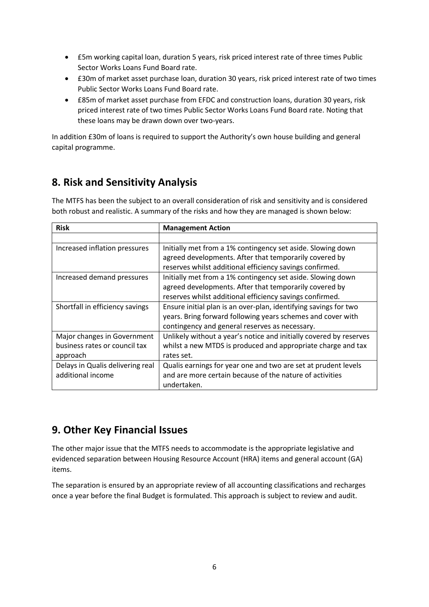- £5m working capital loan, duration 5 years, risk priced interest rate of three times Public Sector Works Loans Fund Board rate.
- £30m of market asset purchase loan, duration 30 years, risk priced interest rate of two times Public Sector Works Loans Fund Board rate.
- £85m of market asset purchase from EFDC and construction loans, duration 30 years, risk priced interest rate of two times Public Sector Works Loans Fund Board rate. Noting that these loans may be drawn down over two-years.

In addition £30m of loans is required to support the Authority's own house building and general capital programme.

## **8. Risk and Sensitivity Analysis**

The MTFS has been the subject to an overall consideration of risk and sensitivity and is considered both robust and realistic. A summary of the risks and how they are managed is shown below:

| <b>Risk</b>                      | <b>Management Action</b>                                           |
|----------------------------------|--------------------------------------------------------------------|
|                                  |                                                                    |
| Increased inflation pressures    | Initially met from a 1% contingency set aside. Slowing down        |
|                                  | agreed developments. After that temporarily covered by             |
|                                  | reserves whilst additional efficiency savings confirmed.           |
| Increased demand pressures       | Initially met from a 1% contingency set aside. Slowing down        |
|                                  | agreed developments. After that temporarily covered by             |
|                                  | reserves whilst additional efficiency savings confirmed.           |
| Shortfall in efficiency savings  | Ensure initial plan is an over-plan, identifying savings for two   |
|                                  | years. Bring forward following years schemes and cover with        |
|                                  | contingency and general reserves as necessary.                     |
| Major changes in Government      | Unlikely without a year's notice and initially covered by reserves |
| business rates or council tax    | whilst a new MTDS is produced and appropriate charge and tax       |
| approach                         | rates set.                                                         |
| Delays in Qualis delivering real | Qualis earnings for year one and two are set at prudent levels     |
| additional income                | and are more certain because of the nature of activities           |
|                                  | undertaken.                                                        |

## **9. Other Key Financial Issues**

The other major issue that the MTFS needs to accommodate is the appropriate legislative and evidenced separation between Housing Resource Account (HRA) items and general account (GA) items.

The separation is ensured by an appropriate review of all accounting classifications and recharges once a year before the final Budget is formulated. This approach is subject to review and audit.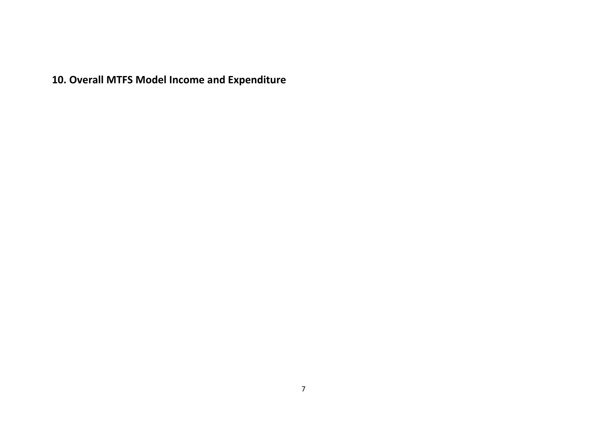**10. Overall MTFS Model Income and Expenditure**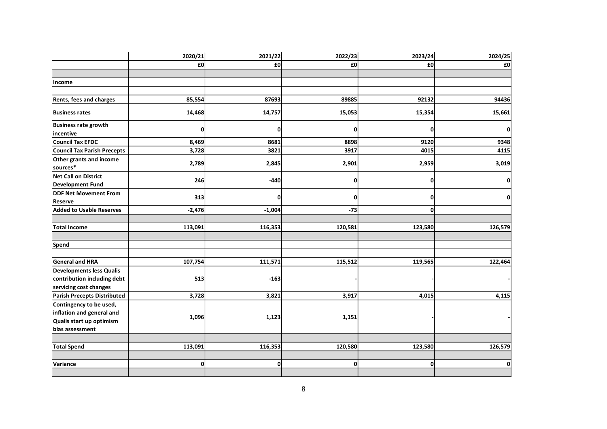|                                                                                                     | 2020/21      | 2021/22      | 2022/23  | 2023/24  | 2024/25 |
|-----------------------------------------------------------------------------------------------------|--------------|--------------|----------|----------|---------|
|                                                                                                     | £0           | £0           | £0       | £0       | £0      |
|                                                                                                     |              |              |          |          |         |
| Income                                                                                              |              |              |          |          |         |
|                                                                                                     |              |              |          |          |         |
| Rents, fees and charges                                                                             | 85,554       | 87693        | 89885    | 92132    | 94436   |
| <b>Business rates</b>                                                                               | 14,468       | 14,757       | 15,053   | 15,354   | 15,661  |
| <b>Business rate growth</b>                                                                         | 0            | 0            | O        |          | 0       |
| incentive                                                                                           |              |              |          |          |         |
| Council Tax EFDC                                                                                    | 8,469        | 8681         | 8898     | 9120     | 9348    |
| <b>Council Tax Parish Precepts</b>                                                                  | 3,728        | 3821         | 3917     | 4015     | 4115    |
| Other grants and income<br>sources*                                                                 | 2,789        | 2,845        | 2,901    | 2,959    | 3,019   |
| <b>Net Call on District</b><br><b>Development Fund</b>                                              | 246          | $-440$       | 0        |          | 0       |
| <b>DDF Net Movement From</b><br>Reserve                                                             | 313          | 0            | $\Omega$ |          | ol      |
| <b>Added to Usable Reserves</b>                                                                     | $-2,476$     | $-1,004$     | $-73$    | $\Omega$ |         |
|                                                                                                     |              |              |          |          |         |
| <b>Total Income</b>                                                                                 | 113,091      | 116,353      | 120,581  | 123,580  | 126,579 |
|                                                                                                     |              |              |          |          |         |
| Spend                                                                                               |              |              |          |          |         |
|                                                                                                     |              |              |          |          |         |
| <b>General and HRA</b>                                                                              | 107,754      | 111,571      | 115,512  | 119,565  | 122,464 |
| <b>Developments less Qualis</b><br>contribution including debt<br>servicing cost changes            | 513          | $-163$       |          |          |         |
| Parish Precepts Distributed                                                                         | 3,728        | 3,821        | 3,917    | 4,015    | 4,115   |
| Contingency to be used,<br>inflation and general and<br>Qualis start up optimism<br>bias assessment | 1,096        | 1,123        | 1,151    |          |         |
|                                                                                                     |              |              |          |          |         |
| <b>Total Spend</b>                                                                                  | 113,091      | 116,353      | 120,580  | 123,580  | 126,579 |
|                                                                                                     |              |              |          |          |         |
| Variance                                                                                            | $\mathbf{0}$ | $\mathbf{0}$ | 0l       | U        | Οl      |